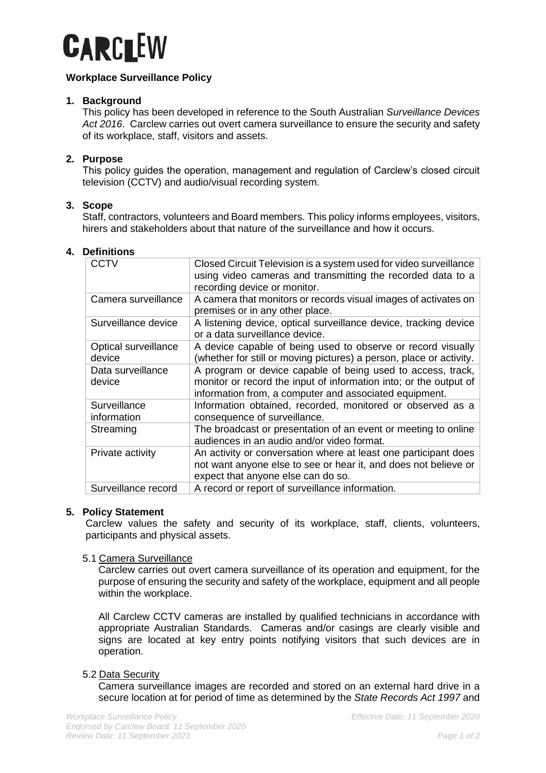

# **Workplace Surveillance Policy**

## **1. Background**

This policy has been developed in reference to the South Australian *Surveillance Devices Act 2016*. Carclew carries out overt camera surveillance to ensure the security and safety of its workplace, staff, visitors and assets.

# **2. Purpose**

This policy guides the operation, management and regulation of Carclew's closed circuit television (CCTV) and audio/visual recording system.

## **3. Scope**

Staff, contractors, volunteers and Board members. This policy informs employees, visitors, hirers and stakeholders about that nature of the surveillance and how it occurs.

# **4. Definitions**

| CCTV                           | Closed Circuit Television is a system used for video surveillance<br>using video cameras and transmitting the recorded data to a<br>recording device or monitor.                           |
|--------------------------------|--------------------------------------------------------------------------------------------------------------------------------------------------------------------------------------------|
| Camera surveillance            | A camera that monitors or records visual images of activates on<br>premises or in any other place.                                                                                         |
| Surveillance device            | A listening device, optical surveillance device, tracking device<br>or a data surveillance device.                                                                                         |
| Optical surveillance<br>device | A device capable of being used to observe or record visually<br>(whether for still or moving pictures) a person, place or activity.                                                        |
| Data surveillance<br>device    | A program or device capable of being used to access, track,<br>monitor or record the input of information into; or the output of<br>information from, a computer and associated equipment. |
| Surveillance<br>information    | Information obtained, recorded, monitored or observed as a<br>consequence of surveillance.                                                                                                 |
| Streaming                      | The broadcast or presentation of an event or meeting to online<br>audiences in an audio and/or video format.                                                                               |
| Private activity               | An activity or conversation where at least one participant does<br>not want anyone else to see or hear it, and does not believe or<br>expect that anyone else can do so.                   |
| Surveillance record            | A record or report of surveillance information.                                                                                                                                            |

## **5. Policy Statement**

Carclew values the safety and security of its workplace, staff, clients, volunteers, participants and physical assets.

## 5.1 Camera Surveillance

Carclew carries out overt camera surveillance of its operation and equipment, for the purpose of ensuring the security and safety of the workplace, equipment and all people within the workplace.

All Carclew CCTV cameras are installed by qualified technicians in accordance with appropriate Australian Standards. Cameras and/or casings are clearly visible and signs are located at key entry points notifying visitors that such devices are in operation.

## 5.2 Data Security

Camera surveillance images are recorded and stored on an external hard drive in a secure location at for period of time as determined by the *State Records Act 1997* and